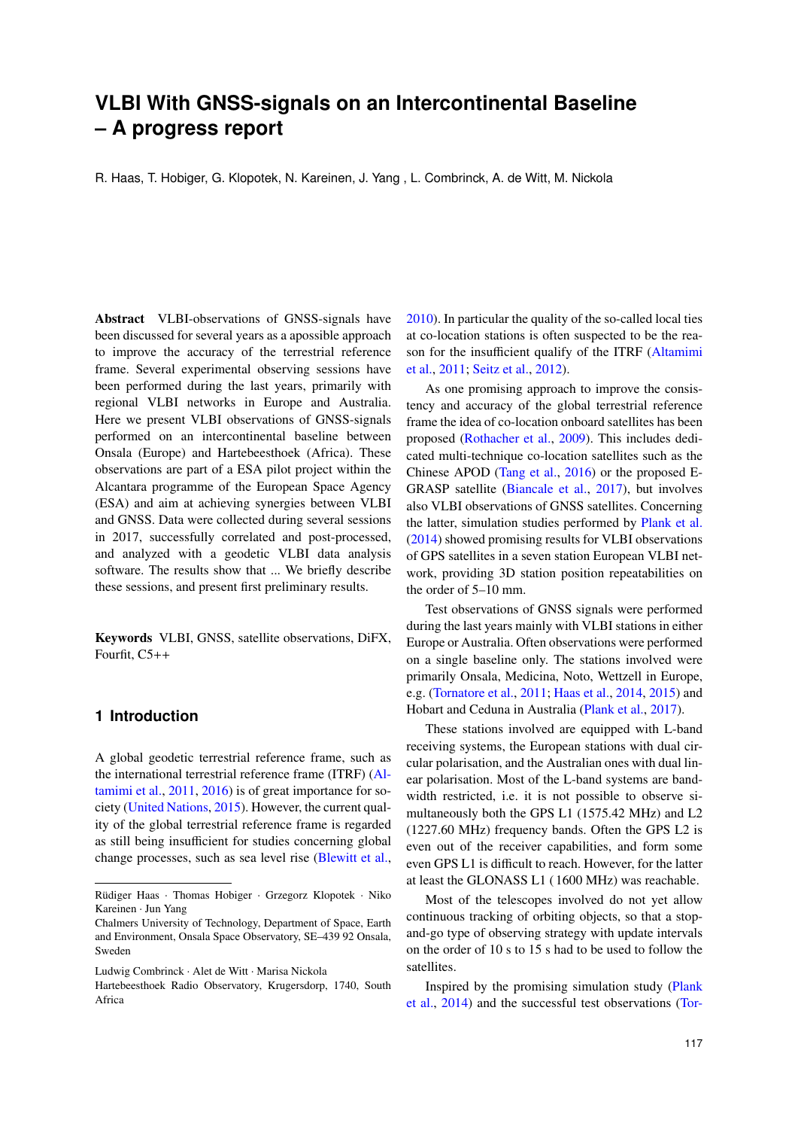# **VLBI With GNSS-signals on an Intercontinental Baseline – A progress report**

R. Haas, T. Hobiger, G. Klopotek, N. Kareinen, J. Yang , L. Combrinck, A. de Witt, M. Nickola

Abstract VLBI-observations of GNSS-signals have been discussed for several years as a apossible approach to improve the accuracy of the terrestrial reference frame. Several experimental observing sessions have been performed during the last years, primarily with regional VLBI networks in Europe and Australia. Here we present VLBI observations of GNSS-signals performed on an intercontinental baseline between Onsala (Europe) and Hartebeesthoek (Africa). These observations are part of a ESA pilot project within the Alcantara programme of the European Space Agency (ESA) and aim at achieving synergies between VLBI and GNSS. Data were collected during several sessions in 2017, successfully correlated and post-processed, and analyzed with a geodetic VLBI data analysis software. The results show that ... We briefly describe these sessions, and present first preliminary results.

Keywords VLBI, GNSS, satellite observations, DiFX, Fourfit, C5++

## **1 Introduction**

A global geodetic terrestrial reference frame, such as the international terrestrial reference frame (ITRF) [\(Al](#page-3-0)[tamimi et al.,](#page-3-0) [2011,](#page-3-0) [2016\)](#page--1-0) is of great importance for society [\(United Nations,](#page-4-0) [2015\)](#page-4-0). However, the current quality of the global terrestrial reference frame is regarded as still being insufficient for studies concerning global change processes, such as sea level rise [\(Blewitt et al.,](#page-3-1) [2010\)](#page-3-1). In particular the quality of the so-called local ties at co-location stations is often suspected to be the reason for the insufficient qualify of the ITRF [\(Altamimi](#page-3-0) [et al.,](#page-3-0) [2011;](#page-3-0) [Seitz et al.,](#page-4-1) [2012\)](#page-4-1).

As one promising approach to improve the consistency and accuracy of the global terrestrial reference frame the idea of co-location onboard satellites has been proposed [\(Rothacher et al.,](#page-4-2) [2009\)](#page-4-2). This includes dedicated multi-technique co-location satellites such as the Chinese APOD [\(Tang et al.,](#page-4-3) [2016\)](#page-4-3) or the proposed E-GRASP satellite [\(Biancale et al.,](#page-3-2) [2017\)](#page-3-2), but involves also VLBI observations of GNSS satellites. Concerning the latter, simulation studies performed by [Plank et al.](#page-4-4) [\(2014\)](#page-4-4) showed promising results for VLBI observations of GPS satellites in a seven station European VLBI network, providing 3D station position repeatabilities on the order of 5–10 mm.

Test observations of GNSS signals were performed during the last years mainly with VLBI stations in either Europe or Australia. Often observations were performed on a single baseline only. The stations involved were primarily Onsala, Medicina, Noto, Wettzell in Europe, e.g. [\(Tornatore et al.,](#page-4-5) [2011;](#page-4-5) [Haas et al.,](#page-4-6) [2014,](#page-4-6) [2015\)](#page-4-7) and Hobart and Ceduna in Australia [\(Plank et al.,](#page-4-8) [2017\)](#page-4-8).

These stations involved are equipped with L-band receiving systems, the European stations with dual circular polarisation, and the Australian ones with dual linear polarisation. Most of the L-band systems are bandwidth restricted, i.e. it is not possible to observe simultaneously both the GPS L1 (1575.42 MHz) and L2 (1227.60 MHz) frequency bands. Often the GPS L2 is even out of the receiver capabilities, and form some even GPS L1 is difficult to reach. However, for the latter at least the GLONASS L1 ( 1600 MHz) was reachable.

Most of the telescopes involved do not yet allow continuous tracking of orbiting objects, so that a stopand-go type of observing strategy with update intervals on the order of 10 s to 15 s had to be used to follow the satellites.

Inspired by the promising simulation study [\(Plank](#page-4-4) [et al.,](#page-4-4) [2014\)](#page-4-4) and the successful test observations [\(Tor-](#page-4-5)

Rüdiger Haas · Thomas Hobiger · Grzegorz Klopotek · Niko Kareinen · Jun Yang

Chalmers University of Technology, Department of Space, Earth and Environment, Onsala Space Observatory, SE–439 92 Onsala, Sweden

Ludwig Combrinck · Alet de Witt · Marisa Nickola

Hartebeesthoek Radio Observatory, Krugersdorp, 1740, South Africa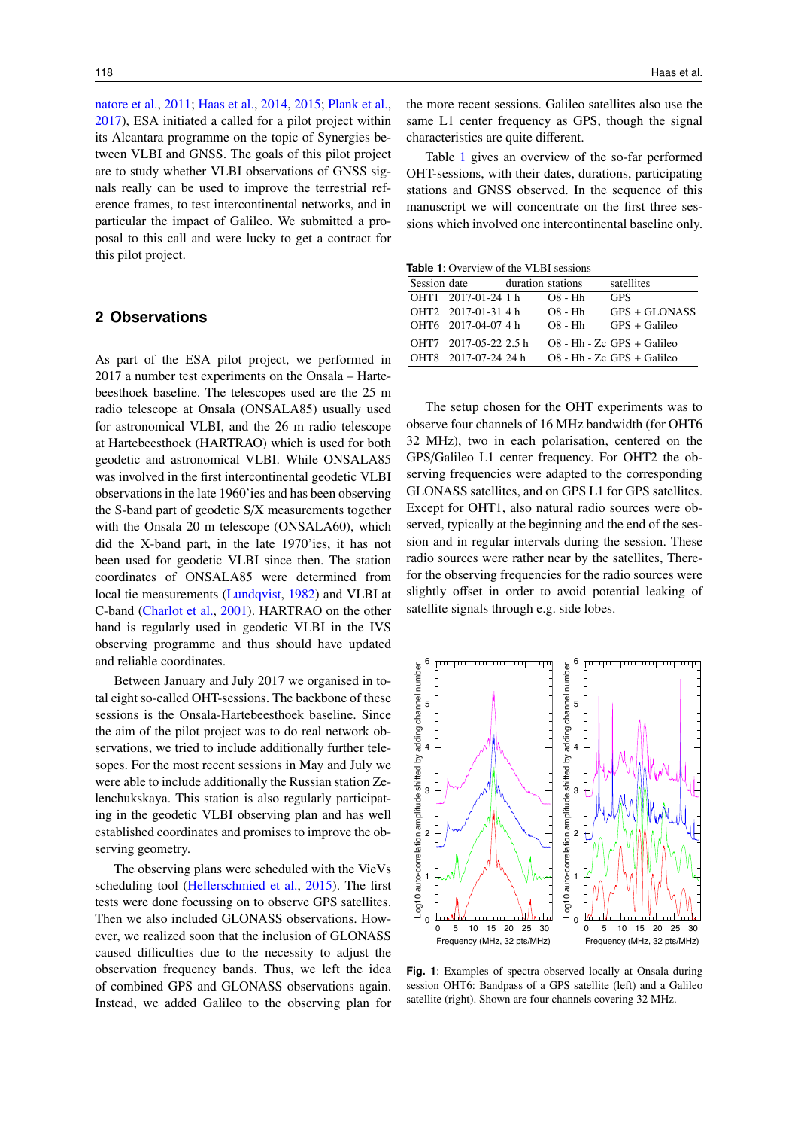[natore et al.,](#page-4-5) [2011;](#page-4-5) [Haas et al.,](#page-4-6) [2014,](#page-4-6) [2015;](#page-4-7) [Plank et al.,](#page-4-8) [2017\)](#page-4-8), ESA initiated a called for a pilot project within its Alcantara programme on the topic of Synergies between VLBI and GNSS. The goals of this pilot project are to study whether VLBI observations of GNSS signals really can be used to improve the terrestrial reference frames, to test intercontinental networks, and in particular the impact of Galileo. We submitted a proposal to this call and were lucky to get a contract for this pilot project.

### **2 Observations**

As part of the ESA pilot project, we performed in 2017 a number test experiments on the Onsala – Hartebeesthoek baseline. The telescopes used are the 25 m radio telescope at Onsala (ONSALA85) usually used for astronomical VLBI, and the 26 m radio telescope at Hartebeesthoek (HARTRAO) which is used for both geodetic and astronomical VLBI. While ONSALA85 was involved in the first intercontinental geodetic VLBI observations in the late 1960'ies and has been observing the S-band part of geodetic S/X measurements together with the Onsala 20 m telescope (ONSALA60), which did the X-band part, in the late 1970'ies, it has not been used for geodetic VLBI since then. The station coordinates of ONSALA85 were determined from local tie measurements [\(Lundqvist,](#page-4-9) [1982\)](#page-4-9) and VLBI at C-band [\(Charlot et al.,](#page-3-3) [2001\)](#page-3-3). HARTRAO on the other hand is regularly used in geodetic VLBI in the IVS observing programme and thus should have updated and reliable coordinates.

Between January and July 2017 we organised in total eight so-called OHT-sessions. The backbone of these sessions is the Onsala-Hartebeesthoek baseline. Since the aim of the pilot project was to do real network observations, we tried to include additionally further telesopes. For the most recent sessions in May and July we were able to include additionally the Russian station Zelenchukskaya. This station is also regularly participating in the geodetic VLBI observing plan and has well established coordinates and promises to improve the observing geometry.

The observing plans were scheduled with the VieVs scheduling tool [\(Hellerschmied et al.,](#page-4-10) [2015\)](#page-4-10). The first tests were done focussing on to observe GPS satellites. Then we also included GLONASS observations. However, we realized soon that the inclusion of GLONASS caused difficulties due to the necessity to adjust the observation frequency bands. Thus, we left the idea of combined GPS and GLONASS observations again. Instead, we added Galileo to the observing plan for the more recent sessions. Galileo satellites also use the same L1 center frequency as GPS, though the signal characteristics are quite different.

Table [1](#page-1-0) gives an overview of the so-far performed OHT-sessions, with their dates, durations, participating stations and GNSS observed. In the sequence of this manuscript we will concentrate on the first three sessions which involved one intercontinental baseline only.

<span id="page-1-0"></span>**Table 1:** Overview of the VLBI sessions

| Session date |                       | duration stations |           | satellites                   |  |
|--------------|-----------------------|-------------------|-----------|------------------------------|--|
|              | OHT1 2017-01-24 1 h   |                   | $OS - Hh$ | <b>GPS</b>                   |  |
|              | OHT2 2017-01-31 4 h   |                   | $OS - Hh$ | $GPS + GLONASS$              |  |
|              | OHT6 2017-04-07 4 h   |                   | $OS - Hh$ | $GPS + Galileo$              |  |
|              | OHT7 2017-05-22 2.5 h |                   |           | $OS - Hh - Zc$ GPS + Galileo |  |
|              | OHT8 2017-07-24 24 h  |                   |           | $O8$ - Hh - Zc GPS + Galileo |  |

The setup chosen for the OHT experiments was to observe four channels of 16 MHz bandwidth (for OHT6 32 MHz), two in each polarisation, centered on the GPS/Galileo L1 center frequency. For OHT2 the observing frequencies were adapted to the corresponding GLONASS satellites, and on GPS L1 for GPS satellites. Except for OHT1, also natural radio sources were observed, typically at the beginning and the end of the session and in regular intervals during the session. These radio sources were rather near by the satellites, Therefor the observing frequencies for the radio sources were slightly offset in order to avoid potential leaking of satellite signals through e.g. side lobes.

<span id="page-1-1"></span>

**Fig. 1**: Examples of spectra observed locally at Onsala during session OHT6: Bandpass of a GPS satellite (left) and a Galileo satellite (right). Shown are four channels covering 32 MHz.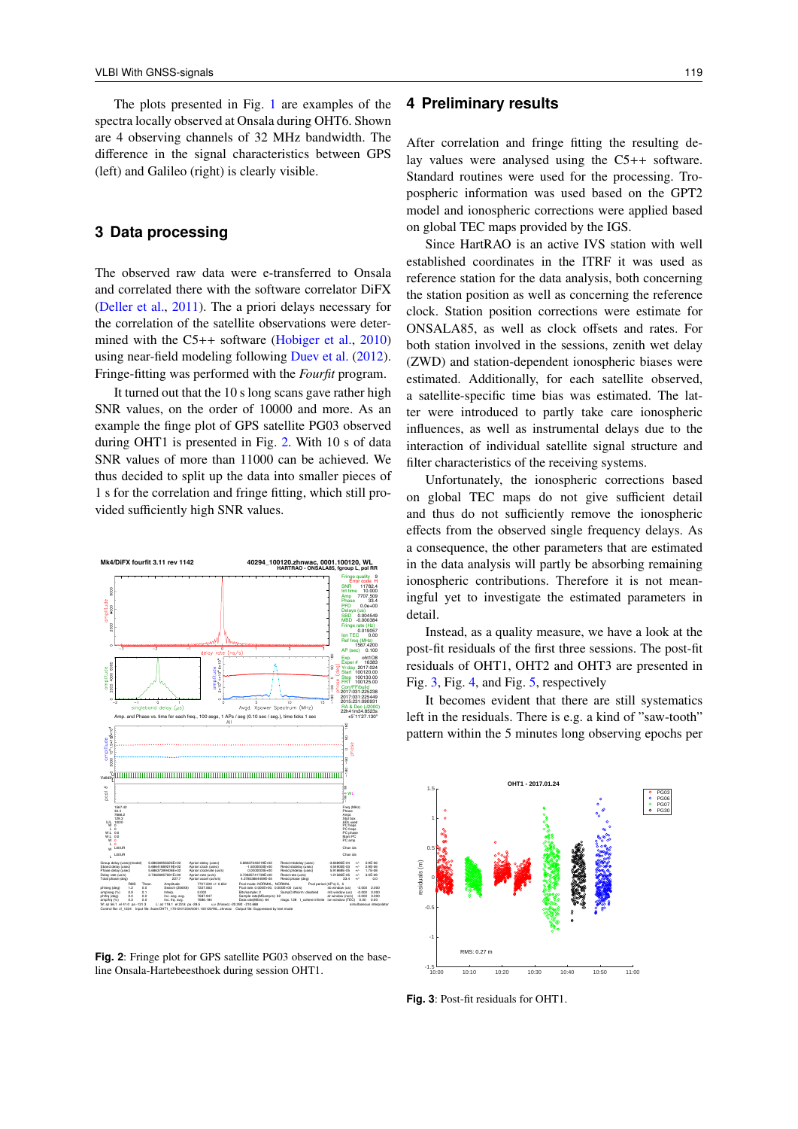The plots presented in Fig. [1](#page-1-1) are examples of the spectra locally observed at Onsala during OHT6. Shown are 4 observing channels of 32 MHz bandwidth. The difference in the signal characteristics between GPS (left) and Galileo (right) is clearly visible.

#### **3 Data processing**

The observed raw data were e-transferred to Onsala and correlated there with the software correlator DiFX [\(Deller et al.,](#page-4-11) [2011\)](#page-4-11). The a priori delays necessary for the correlation of the satellite observations were deter-mined with the C5++ software [\(Hobiger et al.,](#page-4-12) [2010\)](#page-4-12) using near-field modeling following [Duev et al.](#page-4-13) [\(2012\)](#page-4-13). Fringe-fitting was performed with the *Fourfit* program.

It turned out that the 10 s long scans gave rather high SNR values, on the order of 10000 and more. As an example the finge plot of GPS satellite PG03 observed during OHT1 is presented in Fig. [2.](#page-2-0) With 10 s of data SNR values of more than 11000 can be achieved. We thus decided to split up the data into smaller pieces of 1 s for the correlation and fringe fitting, which still provided sufficiently high SNR values.

<span id="page-2-0"></span>

**Fig. 2**: Fringe plot for GPS satellite PG03 observed on the baseline Onsala-Hartebeesthoek during session OHT1.

#### **4 Preliminary results**

After correlation and fringe fitting the resulting delay values were analysed using the C5++ software. Standard routines were used for the processing. Tropospheric information was used based on the GPT2 model and ionospheric corrections were applied based on global TEC maps provided by the IGS.

Since HartRAO is an active IVS station with well established coordinates in the ITRF it was used as reference station for the data analysis, both concerning the station position as well as concerning the reference clock. Station position corrections were estimate for ONSALA85, as well as clock offsets and rates. For both station involved in the sessions, zenith wet delay (ZWD) and station-dependent ionospheric biases were estimated. Additionally, for each satellite observed, a satellite-specific time bias was estimated. The latter were introduced to partly take care ionospheric influences, as well as instrumental delays due to the interaction of individual satellite signal structure and filter characteristics of the receiving systems.

Unfortunately, the ionospheric corrections based on global TEC maps do not give sufficient detail and thus do not sufficiently remove the ionospheric effects from the observed single frequency delays. As a consequence, the other parameters that are estimated in the data analysis will partly be absorbing remaining ionospheric contributions. Therefore it is not meaningful yet to investigate the estimated parameters in detail.

Instead, as a quality measure, we have a look at the post-fit residuals of the first three sessions. The post-fit residuals of OHT1, OHT2 and OHT3 are presented in Fig. [3,](#page-2-1) Fig. [4,](#page-3-4) and Fig. [5,](#page-3-5) respectively

It becomes evident that there are still systematics left in the residuals. There is e.g. a kind of "saw-tooth" pattern within the 5 minutes long observing epochs per

<span id="page-2-1"></span>

**Fig. 3**: Post-fit residuals for OHT1.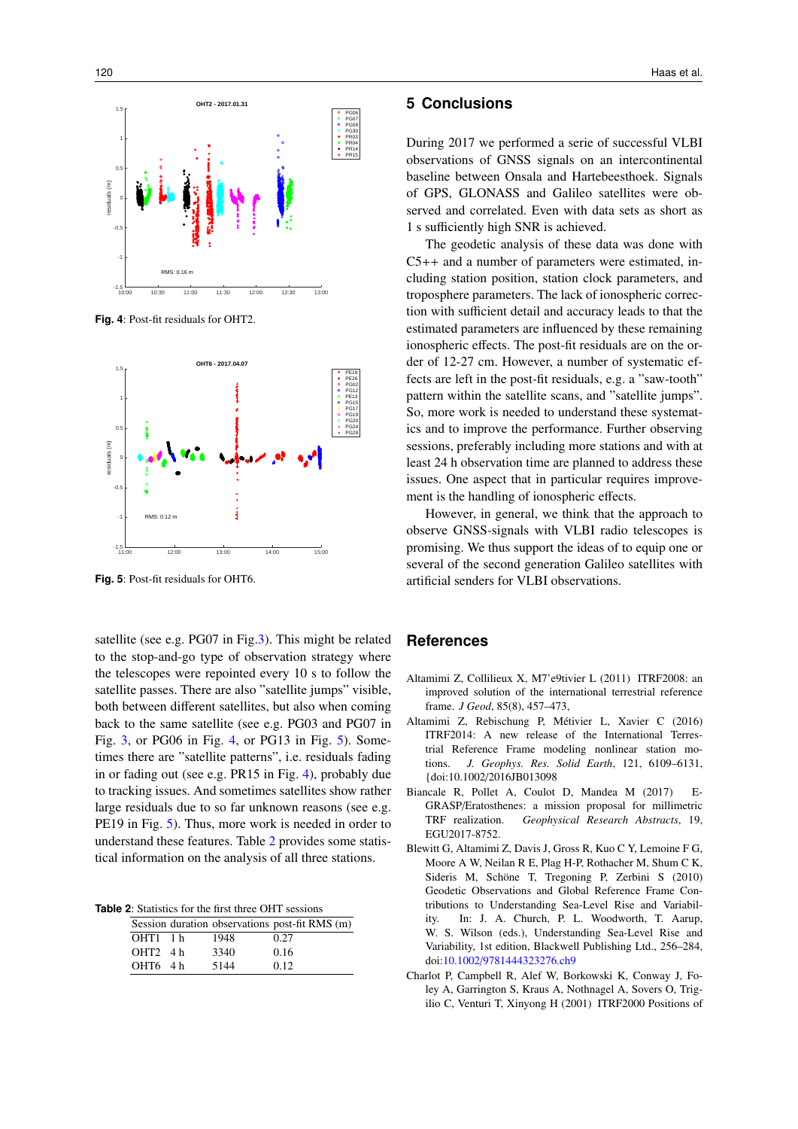<span id="page-3-4"></span>

**Fig. 4**: Post-fit residuals for OHT2.

<span id="page-3-5"></span>

**Fig. 5**: Post-fit residuals for OHT6.

satellite (see e.g. PG07 in Fig[.3\)](#page-2-1). This might be related to the stop-and-go type of observation strategy where the telescopes were repointed every 10 s to follow the satellite passes. There are also "satellite jumps" visible, both between different satellites, but also when coming back to the same satellite (see e.g. PG03 and PG07 in Fig. [3,](#page-2-1) or PG06 in Fig. [4,](#page-3-4) or PG13 in Fig. [5\)](#page-3-5). Sometimes there are "satellite patterns", i.e. residuals fading in or fading out (see e.g. PR15 in Fig. [4\)](#page-3-4), probably due to tracking issues. And sometimes satellites show rather large residuals due to so far unknown reasons (see e.g. PE19 in Fig. [5\)](#page-3-5). Thus, more work is needed in order to understand these features. Table [2](#page-3-6) provides some statistical information on the analysis of all three stations.

<span id="page-3-6"></span>**Table 2**: Statistics for the first three OHT sessions

|            |      | Session duration observations post-fit RMS (m) |
|------------|------|------------------------------------------------|
| $OHT1$ 1 h | 1948 | 0.27                                           |
| $OHT2$ 4 h | 3340 | 0.16                                           |
| OHT6 4h    | 5144 | 0.12                                           |

#### **5 Conclusions**

During 2017 we performed a serie of successful VLBI observations of GNSS signals on an intercontinental baseline between Onsala and Hartebeesthoek. Signals of GPS, GLONASS and Galileo satellites were observed and correlated. Even with data sets as short as 1 s sufficiently high SNR is achieved.

The geodetic analysis of these data was done with C5++ and a number of parameters were estimated, including station position, station clock parameters, and troposphere parameters. The lack of ionospheric correction with sufficient detail and accuracy leads to that the estimated parameters are influenced by these remaining ionospheric effects. The post-fit residuals are on the order of 12-27 cm. However, a number of systematic effects are left in the post-fit residuals, e.g. a "saw-tooth" pattern within the satellite scans, and "satellite jumps". So, more work is needed to understand these systematics and to improve the performance. Further observing sessions, preferably including more stations and with at least 24 h observation time are planned to address these issues. One aspect that in particular requires improvement is the handling of ionospheric effects.

However, in general, we think that the approach to observe GNSS-signals with VLBI radio telescopes is promising. We thus support the ideas of to equip one or several of the second generation Galileo satellites with artificial senders for VLBI observations.

#### **References**

- <span id="page-3-0"></span>Altamimi Z, Collilieux X, M7'e9tivier L (2011) ITRF2008: an improved solution of the international terrestrial reference frame. *J Geod*, 85(8), 457–473,
- Altamimi Z, Rebischung P, Métivier L, Xavier C (2016) ITRF2014: A new release of the International Terrestrial Reference Frame modeling nonlinear station motions. *J. Geophys. Res. Solid Earth*, 121, 6109–6131, {doi:10.1002/2016JB013098
- <span id="page-3-2"></span>Biancale R, Pollet A, Coulot D, Mandea M (2017) E-GRASP/Eratosthenes: a mission proposal for millimetric TRF realization. *Geophysical Research Abstracts*, 19, EGU2017-8752.
- <span id="page-3-1"></span>Blewitt G, Altamimi Z, Davis J, Gross R, Kuo C Y, Lemoine F G, Moore A W, Neilan R E, Plag H-P, Rothacher M, Shum C K, Sideris M, Schöne T, Tregoning P, Zerbini S (2010) Geodetic Observations and Global Reference Frame Contributions to Understanding Sea-Level Rise and Variability. In: J. A. Church, P. L. Woodworth, T. Aarup, W. S. Wilson (eds.), Understanding Sea-Level Rise and Variability, 1st edition, Blackwell Publishing Ltd., 256–284, doi:10.1002/[9781444323276.ch9](http://dx.doi.org/10.1002/9781444323276.ch9)
- <span id="page-3-3"></span>Charlot P, Campbell R, Alef W, Borkowski K, Conway J, Foley A, Garrington S, Kraus A, Nothnagel A, Sovers O, Trigilio C, Venturi T, Xinyong H (2001) ITRF2000 Positions of